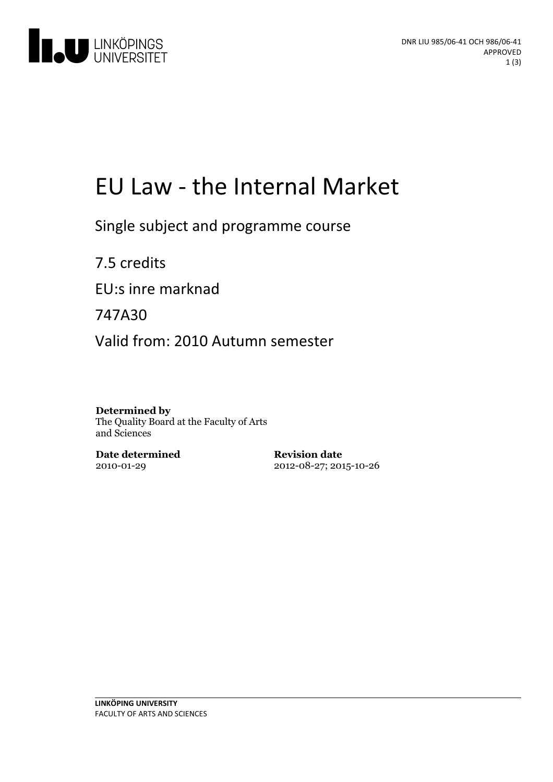

# EU Law - the Internal Market

Single subject and programme course

7.5 credits EU:s inre marknad 747A30

Valid from: 2010 Autumn semester

**Determined by** The Quality Board at the Faculty of Arts and Sciences

**Date determined** 2010-01-29

**Revision date** 2012-08-27; 2015-10-26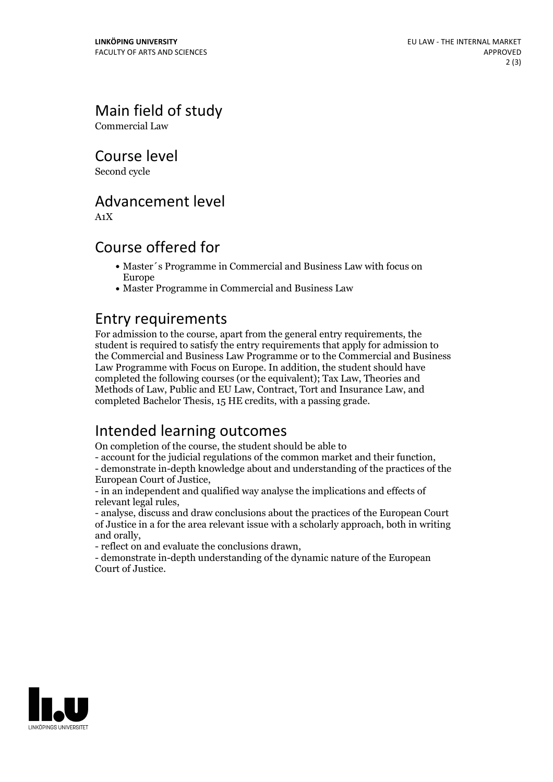Main field of study

Commercial Law

Course level

Second cycle

## Advancement level

A1X

## Course offered for

- Master´s Programme in Commercial and Business Law with focus on Europe
- Master Programme in Commercial and Business Law

## Entry requirements

For admission to the course, apart from the general entry requirements, the student is required to satisfy the entry requirements that apply for admission to the Commercial and Business Law Programme or to the Commercial and Business Law Programme with Focus on Europe. In addition, the student should have completed the following courses (or the equivalent); Tax Law, Theories and Methods of Law, Public and EU Law, Contract, Tort and Insurance Law, and completed Bachelor Thesis, 15 HE credits, with a passing grade.

# Intended learning outcomes

On completion of the course, the student should be able to

- account for the judicial regulations of the common market and their function, - demonstrate in-depth knowledge about and understanding of the practices of the

European Court of Justice, - in an independent and qualified way analyse the implications and effects of

relevant legal rules, - analyse, discuss and draw conclusions about the practices of the European Court

of Justice in a for the area relevant issue with a scholarly approach, both in writing and orally,<br>- reflect on and evaluate the conclusions drawn,<br>- demonstrate in-depth understanding of the dynamic nature of the European

Court of Justice.